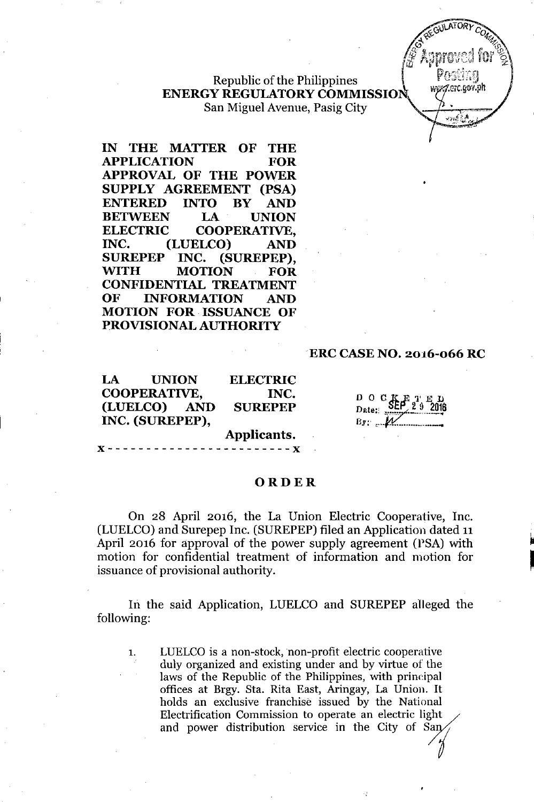Republic of the Philippines **ENERGY REGULATORY COMMISSION** San Miguel Avenue, Pasig City

**IN THE MATTER OF THE APPLICATION FOR APPROVAL OF THE POWER SUPPLY AGREEMENT (PSA) ENTERED INTO BY AND BETWEEN LA UNION ELECTRIC COOPERATIVE, INC. (LUELCO) AND SUREPEP INC. (SUREPEP), WITH MOTION FOR CONFIDENTIAL TREATMENT OF INFORMATION AND MOTION FOR. ISSUANCE OF PROVISIONAL AUTHORITY**

### **ERC CASE NO. 2016-066 RC**

**WATORY** 

wwz7.erc.gov.ph

المتركان ولاتم

**Applicants.** "- - - - - - - - - - - - - - - - - - - - - - - - " **LA UNION COOPERATIVE, (LUELCO) AND INC. (SUREPEP), ELECTRIC INC. SUREPEP** DOGdt,f'l'ED D2te:' ".:;;T.?.~~t6

*By:. ,* f.v.: - .•

### **ORDER**

On 28 April 2016, the La Union Electric Cooperative, Inc. (LUELCO)and Surepep Inc. (SUREPEP) filed an Application dated 11 April 2016 for approval of the power supply agreement (PSA) with motion for confidential treatment of information and motion for issuance of provisional authority.

In the said Application, LUELCO and SUREPEP alleged the following:

1. LUELCO is a non-stock, non-profit electric cooperative duly organized and existing under and by virtue of the laws of the Republic of the Philippines, with principal offices at Brgy. Sta. Rita East, Aringay, La Union. It holds an exclusive franchise issued by the National Electrification Commission to operate an electric light and power distribution service in the City of San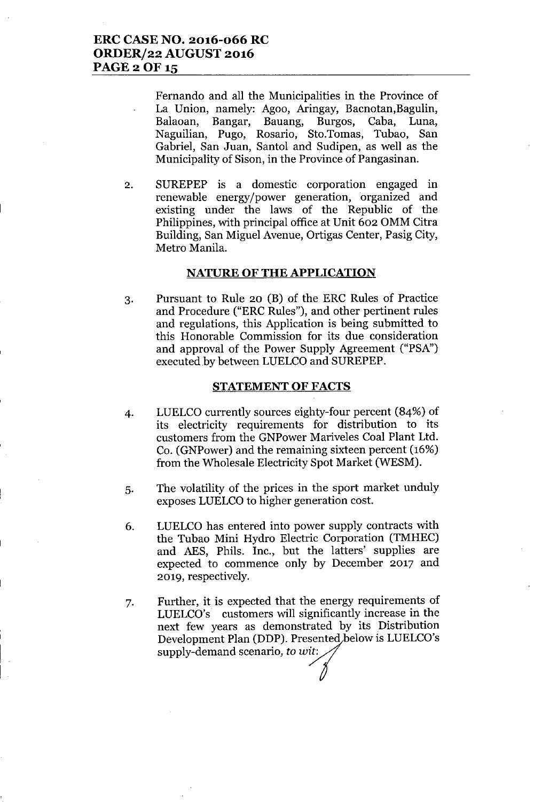Fernando and all the Municipalities in the Province of La Union, namely: Agoo, Aringay, Bacnotan,Bagulin, Balaoan, Bangar, Bauang, Burgos, Caba, Luna, Naguilian, Pugo, Rosario, Sto.Tomas, Tubao, San Gabriel, San Juan, Santol and Sudipen, as well as the Municipality of Sison, in the Province of Pangasinan.

2. SUREPEP is a domestic corporation engaged in renewable energy/power generation, organized and existing under the laws of the Republic of the Philippines, with principal office at Unit 602 OMM Citra Building, San Miguel Avenue, Ortigas Center, Pasig City, Metro Manila.

#### **NATURE OF THE APPLICATION**

3. Pursuant to Rule 20 (B) of the ERC Rules of Practice and Procedure ("ERC Rules"), and other pertinent rules and regulations, this Application is being submitted to this Honorable Commission for its due consideration and approval of the Power Supply Agreement ("PSA") executed by between LUELCO and SUREPEP.

#### **STATEMENT OF FACTS**

- 4. LUELCO currently sources eighty-four percent (84%) of its electricity requirements for distribution to its customers from the GNPower Mariveles Coal Plant Ltd. Co. (GNPower) and the remaining sixteen percent (16%) from the Wholesale Electricity Spot Market (WESM).
- 5. The volatility of the prices in the sport market unduly exposes LUELCO to higher generation cost.
- 6. LUELCO has entered into power supply contracts with the Tubao Mini Hydro Electric Corporation (TMHEC) and AES, Phils. Inc., but the latters' supplies are expected to commence only by December 2017 and 2019, respectively.
- 7. Further, it is expected that the energy requirements of LUELCO's customers will significantly increase in the next few years as demonstrated by its Distribution Development Plan (DDP). Presented below is LUELCO's LUELCO's customers will significantly next few years as demonstrated<br>Development Plan (DDP). Presente<br>supply-demand scenario, *to wit:*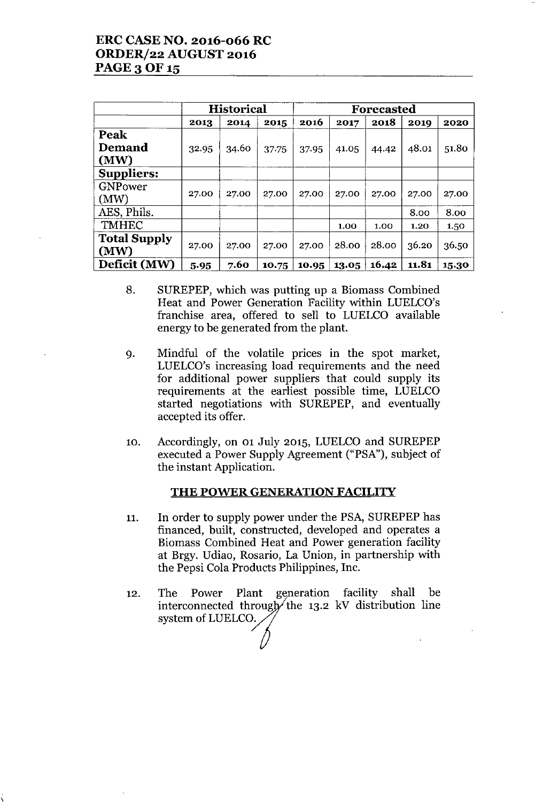# ERC CASE NO. 2016-066 RC ORDER/22 AUGUST 2016 PAGE 3 OF 15

|                     | <b>Historical</b> |       |       | Forecasted |       |       |       |       |
|---------------------|-------------------|-------|-------|------------|-------|-------|-------|-------|
|                     | 2013              | 2014  | 2015  | 2016       | 2017  | 2018  | 2019  | 2020  |
| Peak                |                   |       |       |            |       |       |       |       |
| Demand              | 32.95             | 34.60 | 37.75 | 37.95      | 41.05 | 44.42 | 48.01 | 51.80 |
| (MW)                |                   |       |       |            |       |       |       |       |
| <b>Suppliers:</b>   |                   |       |       |            |       |       |       |       |
| GNPower             |                   |       |       |            |       |       |       |       |
| (MW)                | 27.00             | 27.00 | 27.00 | 27.00      | 27.00 | 27.00 | 27.00 | 27.00 |
| AES, Phils.         |                   |       |       |            |       |       | 8.00  | 8.00  |
| <b>TMHEC</b>        |                   |       |       |            | 1.00  | 1.00  | 1.20  | 1.50  |
| <b>Total Supply</b> |                   | 27.00 | 27.00 | 27.00      | 28.00 | 28.00 | 36.20 | 36.50 |
| (MW)                | 27.00             |       |       |            |       |       |       |       |
| Deficit (MW)        | 5.95              | 7.60  | 10.75 | 10.95      | 13.05 | 16.42 | 11.81 | 15.30 |

- 8. SUREPEP, which was putting up a Biomass Combined Heat and Power Generation Facility within LUELCO's franchise area, offered to sell to LUELCO available energy to be generated from the plant.
- 9. Mindful of the volatile prices in the spot market, LUELCO's increasing load requirements and the need for additional power suppliers that could supply its requirements at the earliest possible time, LUELCO started negotiations with SUREPEP, and eventually accepted its offer.
- 10. Accordingly, on 01 July 2015, LUELCOand SUREPEP executed a Power Supply Agreement ("PSA"), subject of the instant Application.

### THE POWER GENERATION FACILITY

- 11. In order to supply power under the PSA, SUREPEP has financed, built, constructed, developed and operates a Biomass Combined Heat and Power generation facility at Brgy. Udiao, Rosario, La Union, in partnership with the Pepsi Cola Products Philippines, Inc.
- 12. The Power Plant generation facility shall be interconnected through the 13.2 kV distribution line system of LUELCO.

\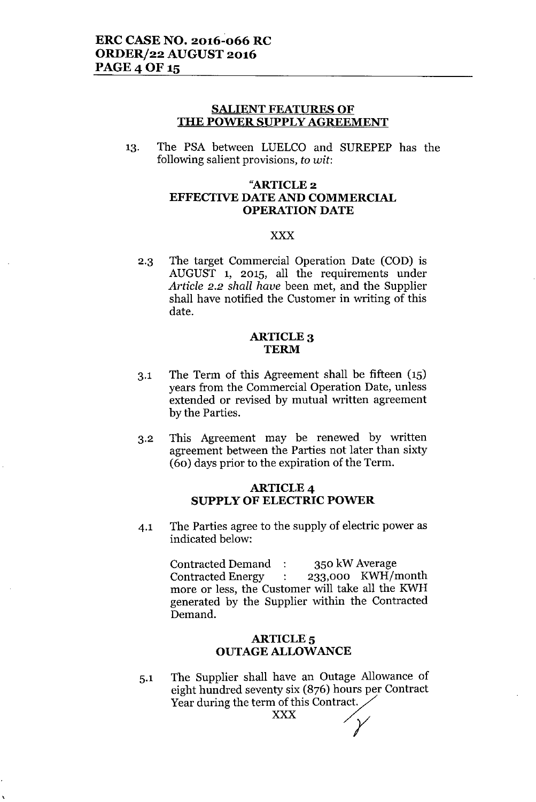#### **SALIENT FEATURES OF THE POWER SUPPLY AGREEMENT**

13. The PSA between LUELCO and SUREPEP has the following salient provisions, *to wit:*

### "ARTICLE 2 **EFFECTIVE DATE AND COMMERCIAL OPERATION DATE**

#### xxx

2.3 The target Commercial Operation Date (COD) is AUGUST 1, 2015, all the requirements under *Article* 2.2 *shall have* been met, and the Supplier shall have notified the Customer in writing of this date.

#### ARTICLE 3 **TERM**

- 3.1 The Term of this Agreement shall be fifteen (15) years from the Commercial Operation Date, unless extended or revised by mutual written agreement by the Parties.
- 3.2 This Agreement may be renewed by written agreement between the Parties not later than sixty (60) days prior to the expiration of the Term.

#### ARTICLE 4 **SUPPLY OF ELECTRIC POWER**

4.1 The Parties agree to the supply of electric power as indicated below:

> Contracted Demand: 350 kW Average Contracted Energy : 233,000 KWH/month more or less, the Customer will take all the KWH generated by the Supplier within the Contracted Demand.

#### **ARTICLE**<sub>5</sub> **OUTAGE ALLOWANCE**

5.1 The Supplier shall have an Outage Allowance of eight hundred seventy six (876) hours per Contract Year during the term of this Contract.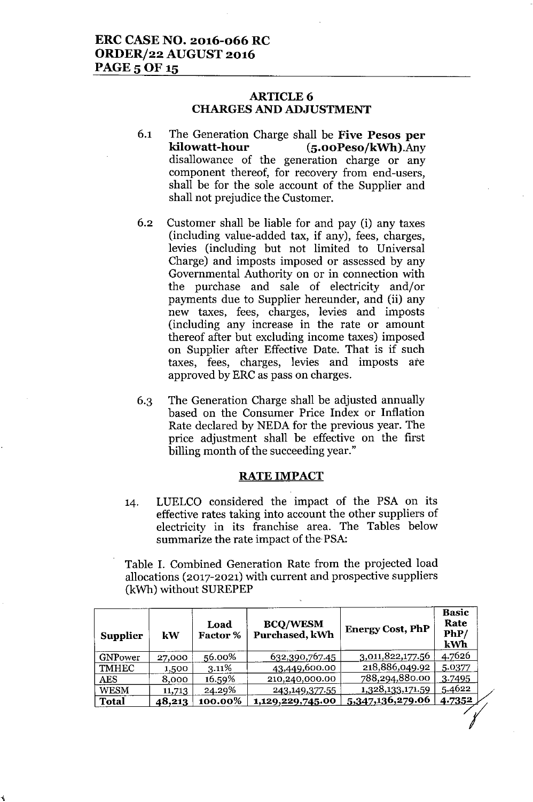### ARTICLE 6 CHARGES AND ADJUSTMENT

- 6.1 The Generation Charge shall be Five Pesos per kilowatt-hour (5.00Peso/kWh).Any disallowance of the generation charge or any component thereof, for recovery from end-users, shall be for the sole account of the Supplier and shall not prejudice the Customer.
- 6.2 Customer shall be liable for and pay (i) any taxes (including value-added tax, if any), fees, charges, levies (including but not limited to Universal Charge) and imposts imposed or assessed by any Governmental Authority on or in connection with the purchase and sale of electricity and/or payments due to Supplier hereunder, and (ii) any new taxes, fees, charges, levies and imposts (including any increase in the rate or amount thereof after but excluding income taxes) imposed on Supplier after Effective Date. That is if such taxes, fees, charges, levies and imposts ate approved by ERC as pass on charges.
- 6.3 The Generation Charge shall be adjusted annually based on the Consumer Price Index or Inflation Rate declared by NEDA for the previous year. The price adjustment shall be effective on the first billing month of the succeeding year."

#### RATE IMPACT

14. LUELCO considered the impact of the PSA on its effective rates taking into account the other suppliers of electricity in its franchise area. The Tables below summarize the rate impact of the-PSA:

Table I. Combined Generation Rate from the projected load allocations (2017-2021) with current and prospective suppliers (kWh) without SUREPEP

| <b>Supplier</b> | kW     | Load<br><b>Factor</b> % | <b>BCQ/WESM</b><br>Purchased, kWh | <b>Energy Cost, PhP</b> | <b>Basic</b><br>Rate<br>PhP/<br>kWh |
|-----------------|--------|-------------------------|-----------------------------------|-------------------------|-------------------------------------|
| GNPower         | 27,000 | 56.00%                  | 632,390,767.45                    | 3,011,822,177.56        | 4.7626                              |
| <b>TMHEC</b>    | 1,500  | 3.11%                   | 43,449,600.00                     | 218,886,049.92          | 5.0377                              |
| AES             | 8,000  | 16.59%                  | 210,240,000.00                    | 788,294,880.00          | 3.7495                              |
| <b>WESM</b>     | 11,713 | 24.29%                  | 243,149,377.55                    | 1,328,133,171.59        | 5.4622                              |
| <b>Total</b>    | 48,213 | 100.00%                 | 1,129,229,745.00                  | 5,347,136,279.06        | 4.7352                              |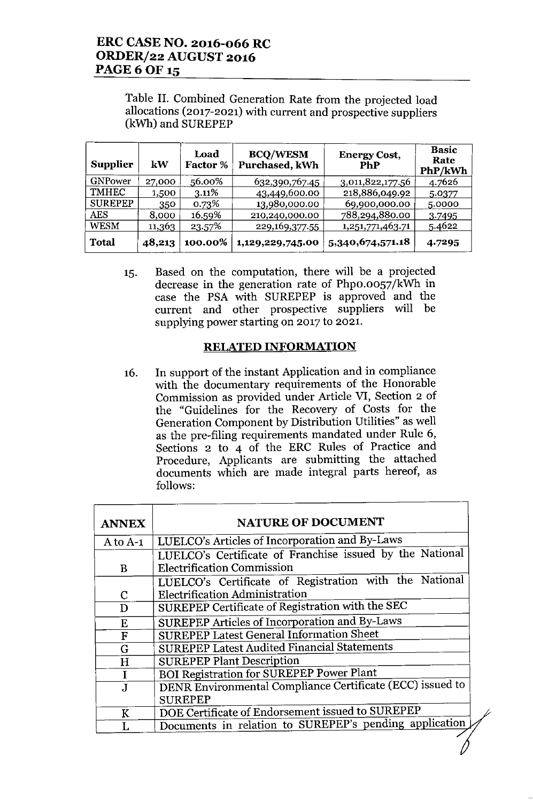# ERC CASE NO. 2016-066 RC ORDER/22 AUGUST 2016 **PAGE 6 OF 15**

Table II. Combined Generation Rate from the projected load allocations (2017-2021) with current and prospective suppliers (kWh) and SUREPEP

| <b>Supplier</b> | kW     | Load<br><b>Factor %</b> | <b>BCQ/WESM</b><br>Purchased, kWh | <b>Energy Cost,</b><br>PhP | <b>Basic</b><br>Rate<br>PhP/kWh |
|-----------------|--------|-------------------------|-----------------------------------|----------------------------|---------------------------------|
| <b>GNPower</b>  | 27,000 | 56.00%                  | 632,390,767.45                    | 3,011,822,177.56           | 4.7626                          |
| TMHEC           | 1,500  | 3.11%                   | 43,449,600.00                     | 218,886,049.92             | 5.0377                          |
| <b>SUREPEP</b>  | 350    | 0.73%                   | 13,980,000.00                     | 69,900,000.00              | 5.0000                          |
| <b>AES</b>      | 8,000  | 16.59%                  | 210,240,000.00                    | 788,294,880.00             | 3.7495                          |
| <b>WESM</b>     | 11,363 | 23.57%                  | 229,169,377.55                    | 1,251,771,463.71           | 5.4622                          |
| <b>Total</b>    | 48,213 | 100.00%                 | 1,129,229,745.00                  | 5,340,674,571.18           | 4.7295                          |

15. Based on the computation, there will be a projected decrease in the generation rate of Phpo.0057/kWh in case the PSA with SUREPEP is approved and the current and other prospective suppliers will be supplying power starting on 2017 to 2021.

### RELATED INFORMATION

16. In support of the instant Application and in compliance with the documentary requirements of the Honorable Commission as provided under Article VI, Section 2 of the "Guidelines for the Recovery of Costs for the Generation Component by Distribution Utilities" as well as the pre-filing requirements mandated under Rule 6, Sections 2 to 4 of the ERC Rules of Practice and Procedure, Applicants are submitting the attached documents which are made integral parts hereof, as follows:

| <b>ANNEX</b>            | <b>NATURE OF DOCUMENT</b>                                                                     |
|-------------------------|-----------------------------------------------------------------------------------------------|
| $A$ to $A-1$            | LUELCO's Articles of Incorporation and By-Laws                                                |
| B.                      | LUELCO's Certificate of Franchise issued by the National<br><b>Electrification Commission</b> |
|                         | LUELCO's Certificate of Registration with the National                                        |
| C                       | <b>Electrification Administration</b>                                                         |
| D                       | SUREPEP Certificate of Registration with the SEC                                              |
| E                       | SUREPEP Articles of Incorporation and By-Laws                                                 |
| $\overline{\mathrm{F}}$ | <b>SUREPEP Latest General Information Sheet</b>                                               |
| G                       | <b>SUREPEP Latest Audited Financial Statements</b>                                            |
| H                       | <b>SUREPEP Plant Description</b>                                                              |
| I                       | <b>BOI Registration for SUREPEP Power Plant</b>                                               |
| $\mathbf{J}$            | DENR Environmental Compliance Certificate (ECC) issued to                                     |
|                         | <b>SUREPEP</b>                                                                                |
| K                       | DOE Certificate of Endorsement issued to SUREPEP                                              |
|                         | Documents in relation to SUREPEP's pending application                                        |
|                         |                                                                                               |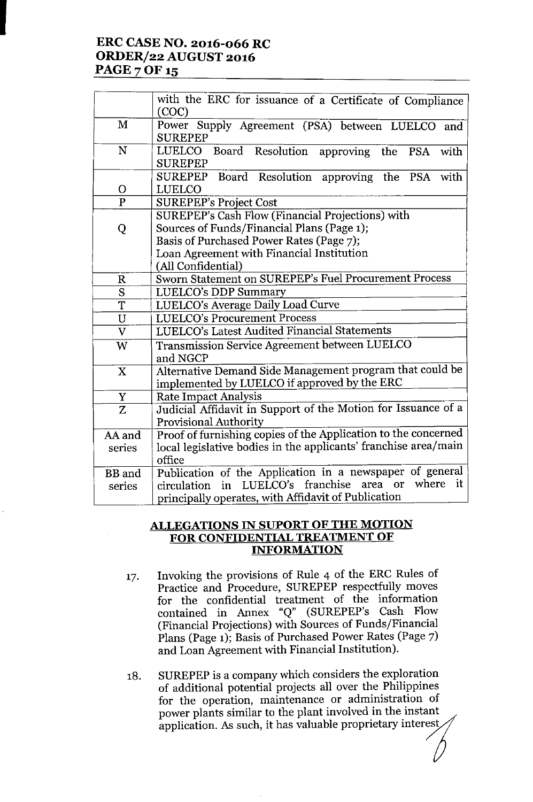# **ERC CASE NO. 2016-066 RC ORDER/22 AUGUST 2016 PAGE 7 OF 15**

I

| M<br>Power Supply Agreement (PSA) between LUELCO and<br><b>SUREPEP</b><br>N<br>Board Resolution approving the PSA<br>LUELCO<br>with<br><b>SUREPEP</b><br>Board Resolution approving the PSA with<br><b>SUREPEP</b><br><b>LUELCO</b><br>$\mathbf O$<br>$\overline{P}$<br><b>SUREPEP's Project Cost</b><br>SUREPEP's Cash Flow (Financial Projections) with<br>Sources of Funds/Financial Plans (Page 1);<br>Q<br>Basis of Purchased Power Rates (Page 7);<br>Loan Agreement with Financial Institution<br>(All Confidential)<br>Sworn Statement on SUREPEP's Fuel Procurement Process<br>$\mathbf R$<br>$\overline{\mathbf{S}}$<br>LUELCO's DDP Summary<br>T<br>LUELCO's Average Daily Load Curve<br>$\overline{\mathtt{U}}$<br><b>LUELCO's Procurement Process</b><br>$\overline{\text{v}}$<br>LUELCO's Latest Audited Financial Statements<br>Transmission Service Agreement between LUELCO<br>W<br>and NGCP<br>Alternative Demand Side Management program that could be<br>X<br>implemented by LUELCO if approved by the ERC<br>$\mathbf Y$<br>Rate Impact Analysis<br>Judicial Affidavit in Support of the Motion for Issuance of a<br>$\overline{\mathbf{z}}$<br><b>Provisional Authority</b><br>Proof of furnishing copies of the Application to the concerned<br>AA and<br>local legislative bodies in the applicants' franchise area/main<br>series<br>office<br>Publication of the Application in a newspaper of general<br>BB and<br>in LUELCO's franchise area or<br>where it<br>series<br>circulation | with the ERC for issuance of a Certificate of Compliance<br>(COC) |
|------------------------------------------------------------------------------------------------------------------------------------------------------------------------------------------------------------------------------------------------------------------------------------------------------------------------------------------------------------------------------------------------------------------------------------------------------------------------------------------------------------------------------------------------------------------------------------------------------------------------------------------------------------------------------------------------------------------------------------------------------------------------------------------------------------------------------------------------------------------------------------------------------------------------------------------------------------------------------------------------------------------------------------------------------------------------------------------------------------------------------------------------------------------------------------------------------------------------------------------------------------------------------------------------------------------------------------------------------------------------------------------------------------------------------------------------------------------------------------------------------------------|-------------------------------------------------------------------|
|                                                                                                                                                                                                                                                                                                                                                                                                                                                                                                                                                                                                                                                                                                                                                                                                                                                                                                                                                                                                                                                                                                                                                                                                                                                                                                                                                                                                                                                                                                                  |                                                                   |
|                                                                                                                                                                                                                                                                                                                                                                                                                                                                                                                                                                                                                                                                                                                                                                                                                                                                                                                                                                                                                                                                                                                                                                                                                                                                                                                                                                                                                                                                                                                  |                                                                   |
|                                                                                                                                                                                                                                                                                                                                                                                                                                                                                                                                                                                                                                                                                                                                                                                                                                                                                                                                                                                                                                                                                                                                                                                                                                                                                                                                                                                                                                                                                                                  |                                                                   |
|                                                                                                                                                                                                                                                                                                                                                                                                                                                                                                                                                                                                                                                                                                                                                                                                                                                                                                                                                                                                                                                                                                                                                                                                                                                                                                                                                                                                                                                                                                                  |                                                                   |
|                                                                                                                                                                                                                                                                                                                                                                                                                                                                                                                                                                                                                                                                                                                                                                                                                                                                                                                                                                                                                                                                                                                                                                                                                                                                                                                                                                                                                                                                                                                  |                                                                   |
|                                                                                                                                                                                                                                                                                                                                                                                                                                                                                                                                                                                                                                                                                                                                                                                                                                                                                                                                                                                                                                                                                                                                                                                                                                                                                                                                                                                                                                                                                                                  |                                                                   |
|                                                                                                                                                                                                                                                                                                                                                                                                                                                                                                                                                                                                                                                                                                                                                                                                                                                                                                                                                                                                                                                                                                                                                                                                                                                                                                                                                                                                                                                                                                                  |                                                                   |
|                                                                                                                                                                                                                                                                                                                                                                                                                                                                                                                                                                                                                                                                                                                                                                                                                                                                                                                                                                                                                                                                                                                                                                                                                                                                                                                                                                                                                                                                                                                  |                                                                   |
|                                                                                                                                                                                                                                                                                                                                                                                                                                                                                                                                                                                                                                                                                                                                                                                                                                                                                                                                                                                                                                                                                                                                                                                                                                                                                                                                                                                                                                                                                                                  |                                                                   |
|                                                                                                                                                                                                                                                                                                                                                                                                                                                                                                                                                                                                                                                                                                                                                                                                                                                                                                                                                                                                                                                                                                                                                                                                                                                                                                                                                                                                                                                                                                                  |                                                                   |
|                                                                                                                                                                                                                                                                                                                                                                                                                                                                                                                                                                                                                                                                                                                                                                                                                                                                                                                                                                                                                                                                                                                                                                                                                                                                                                                                                                                                                                                                                                                  |                                                                   |
|                                                                                                                                                                                                                                                                                                                                                                                                                                                                                                                                                                                                                                                                                                                                                                                                                                                                                                                                                                                                                                                                                                                                                                                                                                                                                                                                                                                                                                                                                                                  |                                                                   |
|                                                                                                                                                                                                                                                                                                                                                                                                                                                                                                                                                                                                                                                                                                                                                                                                                                                                                                                                                                                                                                                                                                                                                                                                                                                                                                                                                                                                                                                                                                                  |                                                                   |
|                                                                                                                                                                                                                                                                                                                                                                                                                                                                                                                                                                                                                                                                                                                                                                                                                                                                                                                                                                                                                                                                                                                                                                                                                                                                                                                                                                                                                                                                                                                  |                                                                   |
|                                                                                                                                                                                                                                                                                                                                                                                                                                                                                                                                                                                                                                                                                                                                                                                                                                                                                                                                                                                                                                                                                                                                                                                                                                                                                                                                                                                                                                                                                                                  |                                                                   |
|                                                                                                                                                                                                                                                                                                                                                                                                                                                                                                                                                                                                                                                                                                                                                                                                                                                                                                                                                                                                                                                                                                                                                                                                                                                                                                                                                                                                                                                                                                                  |                                                                   |
|                                                                                                                                                                                                                                                                                                                                                                                                                                                                                                                                                                                                                                                                                                                                                                                                                                                                                                                                                                                                                                                                                                                                                                                                                                                                                                                                                                                                                                                                                                                  |                                                                   |
|                                                                                                                                                                                                                                                                                                                                                                                                                                                                                                                                                                                                                                                                                                                                                                                                                                                                                                                                                                                                                                                                                                                                                                                                                                                                                                                                                                                                                                                                                                                  |                                                                   |
|                                                                                                                                                                                                                                                                                                                                                                                                                                                                                                                                                                                                                                                                                                                                                                                                                                                                                                                                                                                                                                                                                                                                                                                                                                                                                                                                                                                                                                                                                                                  |                                                                   |
|                                                                                                                                                                                                                                                                                                                                                                                                                                                                                                                                                                                                                                                                                                                                                                                                                                                                                                                                                                                                                                                                                                                                                                                                                                                                                                                                                                                                                                                                                                                  |                                                                   |
|                                                                                                                                                                                                                                                                                                                                                                                                                                                                                                                                                                                                                                                                                                                                                                                                                                                                                                                                                                                                                                                                                                                                                                                                                                                                                                                                                                                                                                                                                                                  |                                                                   |
|                                                                                                                                                                                                                                                                                                                                                                                                                                                                                                                                                                                                                                                                                                                                                                                                                                                                                                                                                                                                                                                                                                                                                                                                                                                                                                                                                                                                                                                                                                                  |                                                                   |
|                                                                                                                                                                                                                                                                                                                                                                                                                                                                                                                                                                                                                                                                                                                                                                                                                                                                                                                                                                                                                                                                                                                                                                                                                                                                                                                                                                                                                                                                                                                  |                                                                   |
|                                                                                                                                                                                                                                                                                                                                                                                                                                                                                                                                                                                                                                                                                                                                                                                                                                                                                                                                                                                                                                                                                                                                                                                                                                                                                                                                                                                                                                                                                                                  |                                                                   |
|                                                                                                                                                                                                                                                                                                                                                                                                                                                                                                                                                                                                                                                                                                                                                                                                                                                                                                                                                                                                                                                                                                                                                                                                                                                                                                                                                                                                                                                                                                                  | principally operates, with Affidavit of Publication               |

### **ALLEGATIONS IN SUPORT OF THE MOTION FOR CONFIDENTIAL TREATMENT OF INFORMATION**

- 17. Invoking the provisions of Rule 4 of the ERC Rules of Practice and Procedure, SUREPEP respectfully moves for the confidential treatment of the information contained in Annex "Q" (SUREPEP's Cash Flow (Financial Projections) with Sources of Funds/Financial Plans (Page 1); Basis of Purchased Power Rates (Page 7) and Loan Agreement with Financial Institution).
- 18. SUREPEP is a company which considers the exploration of additional potential projects all over the Philippines for the operation, maintenance or administration of power plants similar to the plant involved in the instant application. As such, it has valuable proprietary interest,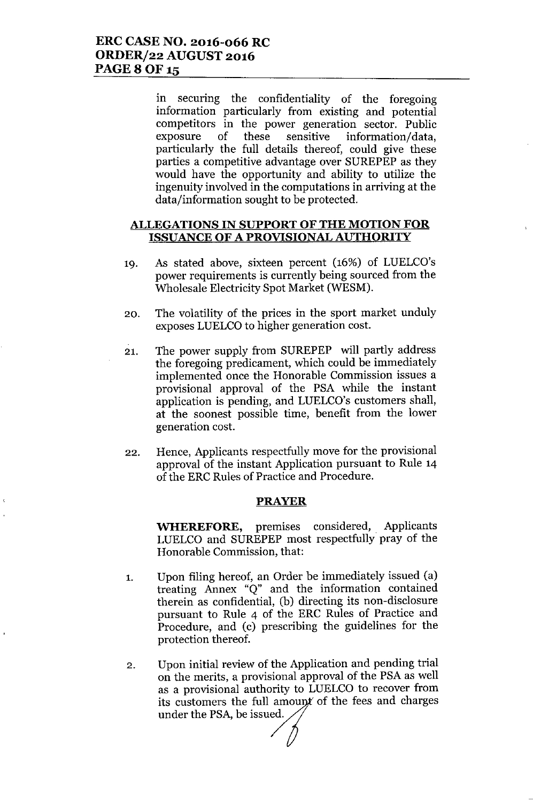in securing the confidentiality of the foregoing information particularly from existing and potential competitors in the power generation sector. Public exposure of these sensitive information/data, particularly the full details thereof, could give these parties a competitive advantage over SUREPEP as they would have the opportunity and ability to utilize the ingenuity involved in the computations in arriving at the data/information sought to be protected.

### **ALLEGATIONS IN SUPPORT OF THE MOTION FOR ISSUANCE OF A PROVISIONAL AUTHORITY**

- 19. As stated above, sixteen percent (16%) of LUELCO's power requirements is currently being sourced from the Wholesale Electricity Spot Market (WESM).
- 20. The volatility of the prices in the sport market unduly exposes LUELCO to higher generation cost.
- 21. The power supply from SUREPEP will partly address the foregoing predicament, which could be immediately implemented once the Honorable Commission issues a provisional approval of the PSA while the instant application is pending, and LUELCO's customers shall, at the soonest possible time, benefit from the lower generation cost.
- 22. Hence, Applicants respectfully move for the provisional approval of the instant Application pursuant to Rule 14 of the ERC Rules of Practice and Procedure.

#### **PRAYER**

**WHEREFORE,** premises considered, Applicants LUELCO and SUREPEP most respectfully pray of the Honorable Commission, that:

- 1. Upon filing hereof, an Order be immediately issued (a) treating Annex "Q" and the information contained therein as confidential, (b) directing its non-disclosure pursuant to Rule 4 of the ERC Rules of Practice and Procedure, and (c) prescribing the guidelines for the protection thereof.
- 2. Upon initial review of the Application and pending trial on the merits, a provisional approval of the PSA as well as a provisional authority to LUELCO to recover from<br>its customers the full amount of the fees and charges its customers the full amount of the fees and charges under the PSA, be issued.  $\angle$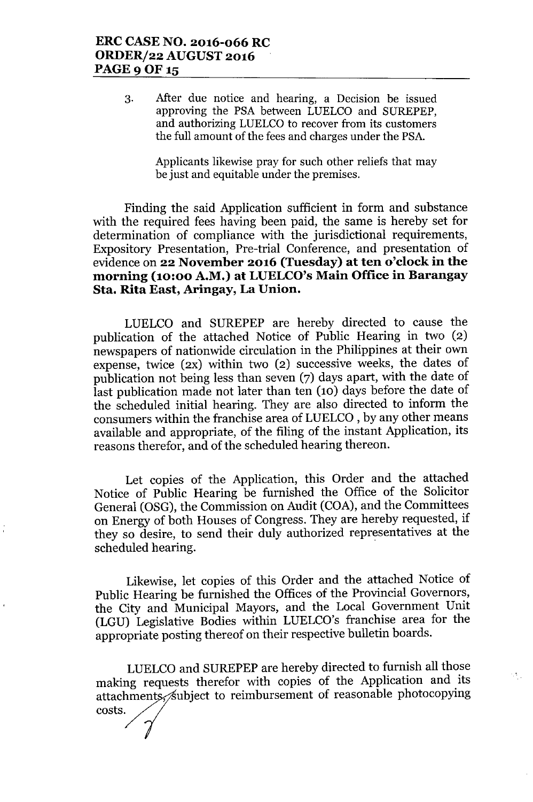3. After due notice and hearing, a Decision be issued approving the PSA between LUELCO and SUREPEP, and authorizing LUELCO to recover from its customers the full amount of the fees and charges under the PSA.

> Applicants likewise pray for such other reliefs that may be just and equitable under the premises.

Finding the said Application sufficient in form and substance with the required fees having been paid, the same is hereby set for determination of compliance with the jurisdictional requirements, Expository Presentation, Pre-trial Conference, and presentation of evidence on **22 November 2016 (Tuesday) at ten o'clock in the morning (10:00 A.M.) at LUELCO'sMain Office in Barangay Sta. Rita East, Aringay, La Union.**

LUELCO and SUREPEP are hereby directed to cause the publication of the attached Notice of Public Hearing in two (2) newspapers of nationwide circulation in the Philippines at their own expense, twice (2X) within two (2) successive weeks, the dates of publication not being less than seven (7) days apart, with the date of last publication made not later than ten (10) days before the date of the scheduled initial hearing. They are also directed to inform the consumers within the franchise area of LUELCO , by any other means available and appropriate, of the filing of the instant Application, its reasons therefor, and of the scheduled hearing thereon.

Let copies of the Application, this Order and the attached Notice of Public Hearing be furnished the Office of the Solicitor General (OSG), the Commission on Audit (COA), and the Committees on Energy of both Houses of Congress. They are hereby requested, if they so desire, to send their duly authorized representatives at the scheduled hearing. .

Likewise, let copies of this Order and the attached Notice of Public Hearing be furnished the Offices of the Provincial Governors, the City and Municipal Mayors, and the Local Government Unit (LGU) Legislative Bodies within LUELCO's franchise area for the appropriate posting thereof on their respective bulletin boards.

LUELCO and SUREPEP are hereby directed to furnish all those making requests therefor with copies of the Application and its attachments, subject to reimbursement of reasonable photocopying costs.

 $\mathcal{O}_{\mathcal{A}}$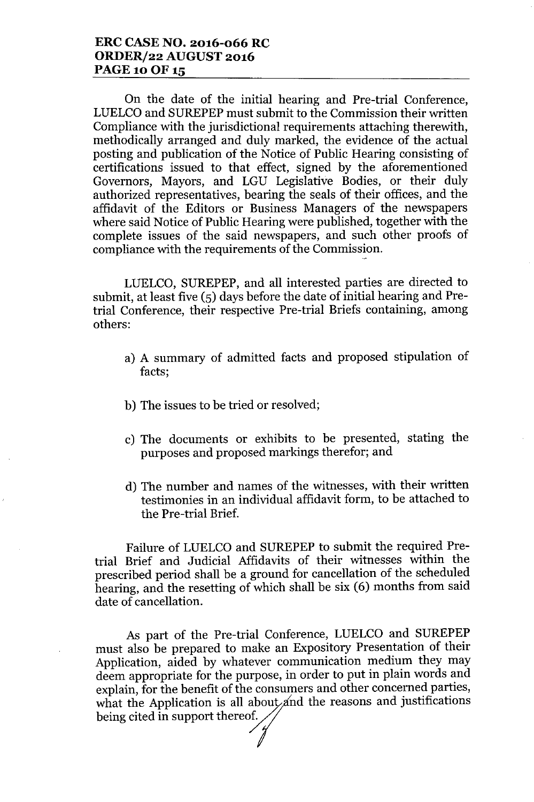## **ERC CASE NO. 2016-066 RC ORDERf22 AUGUST 2016 PAGE 10 OF 15**

On the date of the initial hearing and Pre-trial Conference, LUELCOand SUREPEP must submit to the Commission their written Compliance with the jurisdictional requirements attaching therewith, methodically arranged and duly marked, the evidence of the actual posting and publication of the Notice of Public Hearing consisting of certifications issued to that effect, signed by the aforementioned Governors, Mayors, and LGU Legislative Bodies, or their duly authorized representatives, bearing the seals of their offices, and the affidavit of the Editors or Business Managers of the newspapers where said Notice of Public Hearing were published, together with the complete issues of the said newspapers, and such other proofs of compliance with the requirements of the Commission.

LUELCO, SUREPEP, and all interested parties are directed to submit, at least five (5) days before the date of initial hearing and Pretrial Conference, their respective Pre-trial Briefs containing, among others:

- a) A summary of admitted facts and proposed stipulation of facts;
- b) The issues to be tried or resolved;
- c) The documents or exhibits to be presented, stating the purposes and proposed markings therefor; and
- d) The number and names of the witnesses, with their written testimonies in an individual affidavit form, to be attached to the Pre-trial Brief.

Failure of LUELCO and SUREPEP to submit the required Pretrial Brief and Judicial Affidavits of their witnesses within the prescribed period shall be a ground for cancellation of the scheduled hearing, and the resetting of which shall be six (6) months from said date of cancellation.

As part of the Pre-trial Conference, LUELCO and SUREPEP must also be prepared to make an Expository Presentation of their Application, aided by whatever communication medium they may deem appropriate for the purpose, in order to put in plain words and explain, for the benefit of the consumers and other concerned parties, what the Application is all about and the reasons and justifications being cited in support thereof.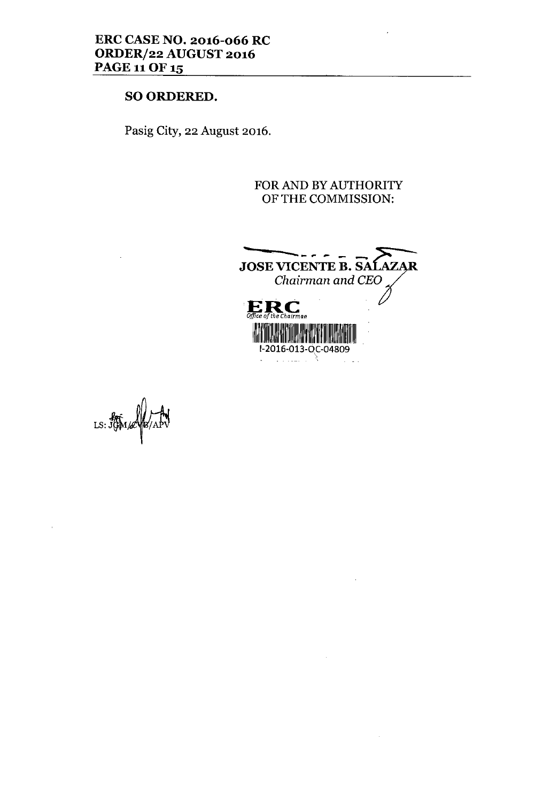## SO ORDERED.

Pasig City, 22 August 2016.

## FOR AND BY AUTHORITY OF THE COMMISSION:



 $\bar{z}$ 

 $\bar{z}$ 

 $LS: \overrightarrow{J}$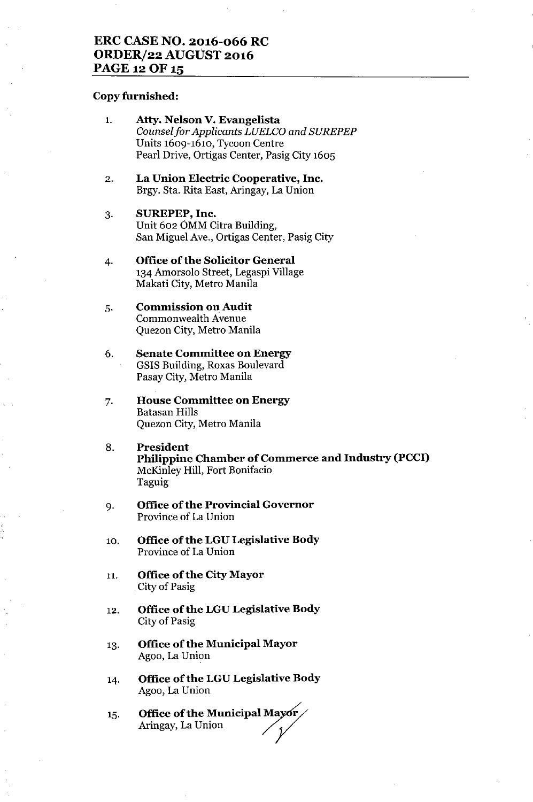## **ERC CASE NO. 2016-066 RC ORDERj22 AUGUST 2016 PAGE 12 OF 15**

#### **Copy furnished:**

- 1. **Atty. Nelson V. Evangelista** *Counsel for Applicants LUELCO and SUREPEP* Units 1609-1610, Tycoon Centre Pearl Drive, Ortigas Center, Pasig City 1605
- 2. **La Union Electric Cooperative, Inc.** Brgy. Sta. Rita East, Aringay, La Union
- 3. **SUREPEP, Inc.** Unit 602 OMM Citra Building, San Miguel Ave., Ortigas Center, Pasig City
- 4. **Office** of the **Solicitor General** 134 Amorsolo Street, Legaspi Village Makati City, Metro Manila
- 5. **Commission on Audit** Commonwealth Avenue Quezon City, Metro Manila
- 6. **Senate Committee on Energy** GSlS Building, Roxas Boulevard Pasay City, Metro Manila
- 7. **House Committee on Energy** Batasan Hills Quezon City, Metro Manila
- 8. **President Philippine Chamber of Commerce and Industry (PCCI)** McKinley Hill, Fort Bonifacio Taguig
- 9. **Office of the Provincial Governor** Province of La Union
- 10. **Office ofthe LGU Legislative Body** Province of La Union
- 11. **Office** of the **City Mayor** City of Pasig
- 12. **Office of the LGU Legislative Body** City of Pasig
- 13. **Office** of the **Municipal Mayor** Agoo, La Union
- 14. **Office** of the **LGU Legislative Body** Agoo, La Union
- 15. **Office of the Municipal Ma** Aringay, La Union / *y*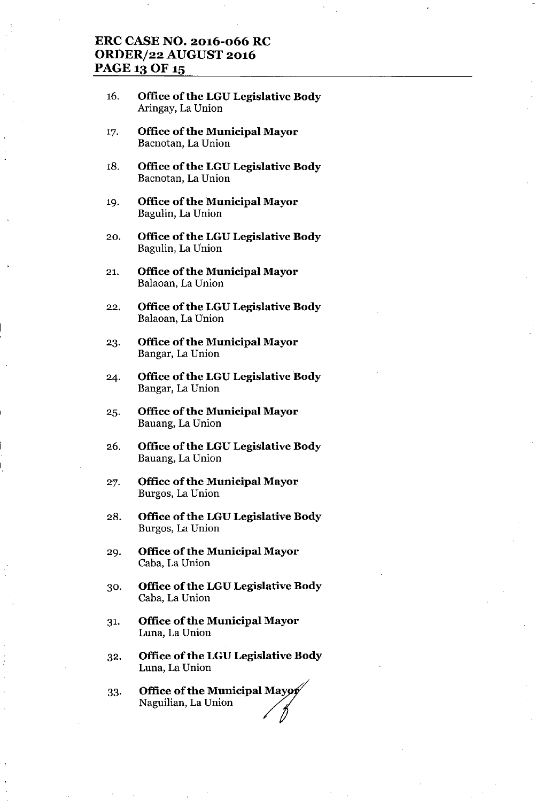## **ERC CASE NO. 2016-066 RC ORDER/22 AUGUST 2016** PAGE 13 OF 15

- 16. **Office** of the **LGU Legislative Body** Aringay, La Union
- 17. **Office** of the **Municipal Mayor** Bacnotan, La Union
- 18. **Office** of the **LGU Legislative Body** Bacnotan, La Union
- 19. **Office** of the **Municipal Mayor** Bagulin, La Union
- 20. **Office** of the **LGU Legislative Body** Bagulin, La Union
- 21. **Office** of the **Municipal Mayor** Balaoan, La Union
- 22. **Office** of the **LGU Legislative Body** Balaoan, La Union
- 23. **Office** of the **Municipal Mayor** Bangar, La Union
- 24. **Office** of the **LGU** Legislative Body Bangar, La Union
- 25. **Office** of the **Municipal Mayor** Bauang, La Union
- 26. **Office** of the **LGU Legislative Body** Bauang, La Union
- 27. **Office** of the **Municipal Mayor** Burgos, La Union
- 28. **Office** of the **LGU Legislative Body** Burgos, La Union
- 29. **Office** of the **Municipal Mayor** Caba, La Union
- 30. **Office** of the **LGU Legislative Body** Caba, La Union
- 31. **Office** of the **Municipal Mayor** Luna, La Union
- 32. **Office** of the **LGU Legislative Body** Luna, La Union
- 33. **Office of the Municipal Maye**<br>Naguilian, La Union */1*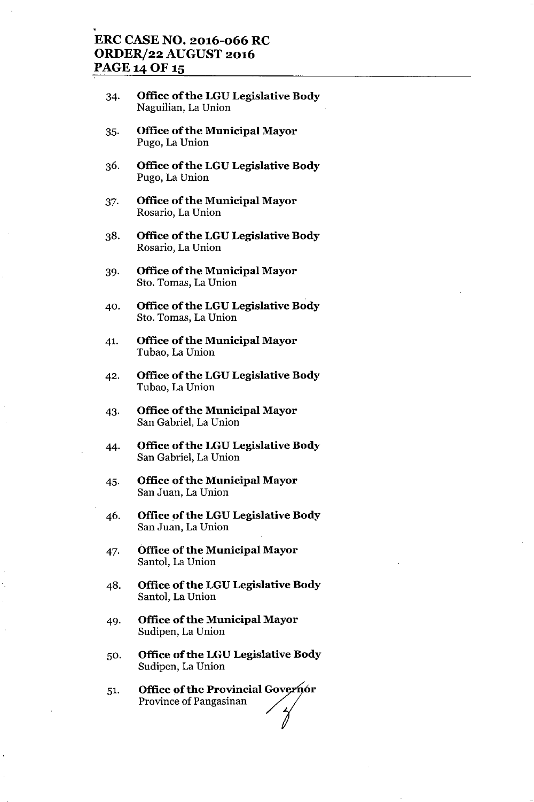## **ERC CASE NO. 2016-066 RC ORDER/22 AUGUST 2016** PAGE 14 OF 15

- 34. **Office** of the **LGU Legislative Body** Naguilian, La Union
- 35. **Office** of the **Municipal Mayor** Pugo, La Union
- 36. **Office** of the **LGU Legislative Body** Pugo, La Union
- 37. **Office** of the **Municipal Mayor** Rosario, La Union
- 38. **Office** of the **LGU Legislative Body** Rosario, La Union
- 39. **Office** of the **Municipal Mayor** Sto. Tomas, La Union
- 40. **Office** of the **LGU Legislative Body** Sto. Tomas, La Union
- 4l. **Office** of the **Municipal Mayor** Tubao, La Union
- 42. **Office** of the **LGU Legislative Body** Tubao, La Union
- 43. **Office** of the **Municipal Mayor** San Gabriel, La Union
- 44. **Office** of the **LGU Legislative Body** San Gabriel, La Union
- 45. **Office of the Municipal Mayor** San Juan, La Union
- 46. **Office** of the **LGU Legislative Body** San Juan, La Union
- 47. **Office** of the **Municipal Mayor** Santol, La Union
- 48. **Office ofthe LGU Legislative Body** Santol, La Union
- 49. **Office** of the **Municipal Mayor** Sudipen, La Union
- 50. **Office** of the **LGU Legislative Body** Sudipen, La Union
- 51. **Office of the Provincial Governor**<br>Province of Pangasinan